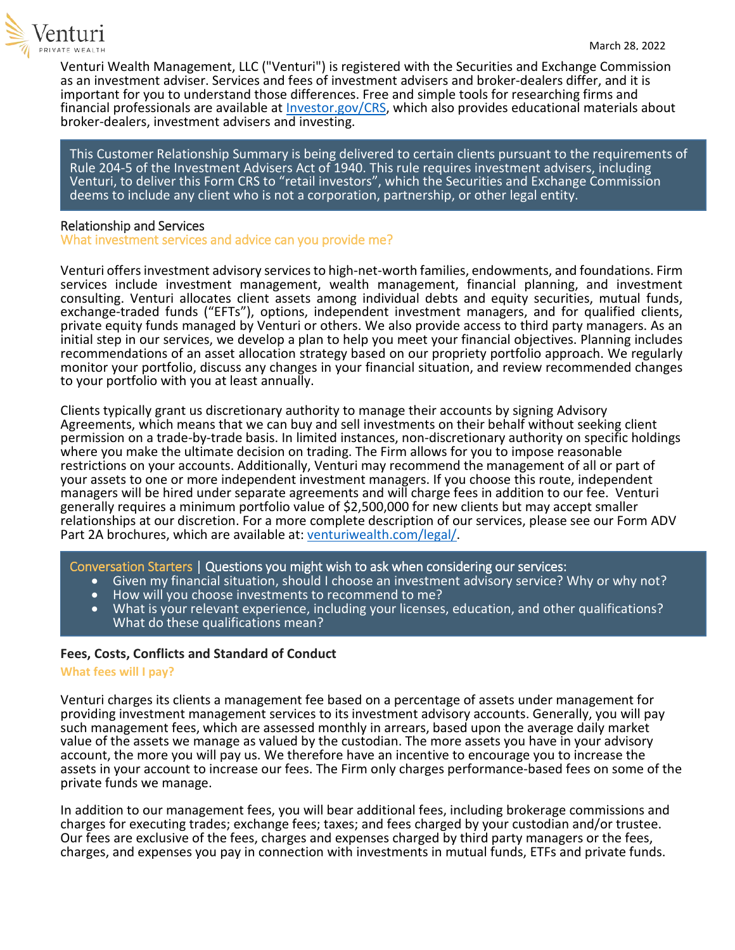

Venturi Wealth Management, LLC ("Venturi") is registered with the Securities and Exchange Commission as an investment adviser. Services and fees of investment advisers and broker-dealers differ, and it is important for you to understand those differences. Free and simple tools for researching firms and financial professionals are available at [Investor.gov/CRS,](http://www.investor.gov/CRS) which also provides educational materials about broker-dealers, investment advisers and investing.

This Customer Relationship Summary is being delivered to certain clients pursuant to the requirements of Rule 204-5 of the Investment Advisers Act of 1940. This rule requires investment advisers, including Venturi, to deliver this Form CRS to "retail investors", which the Securities and Exchange Commission deems to include any client who is not a corporation, partnership, or other legal entity.

## Relationship and Services

What investment services and advice can you provide me?

Venturi offers investment advisory services to high-net-worth families, endowments, and foundations. Firm services include investment management, wealth management, financial planning, and investment consulting. Venturi allocates client assets among individual debts and equity securities, mutual funds, exchange-traded funds ("EFTs"), options, independent investment managers, and for qualified clients, private equity funds managed by Venturi or others. We also provide access to third party managers. As an initial step in our services, we develop a plan to help you meet your financial objectives. Planning includes recommendations of an asset allocation strategy based on our propriety portfolio approach. We regularly monitor your portfolio, discuss any changes in your financial situation, and review recommended changes to your portfolio with you at least annually.

Clients typically grant us discretionary authority to manage their accounts by signing Advisory Agreements, which means that we can buy and sell investments on their behalf without seeking client permission on a trade-by-trade basis. In limited instances, non-discretionary authority on specific holdings where you make the ultimate decision on trading. The Firm allows for you to impose reasonable restrictions on your accounts. Additionally, Venturi may recommend the management of all or part of your assets to one or more independent investment managers. If you choose this route, independent managers will be hired under separate agreements and will charge fees in addition to our fee. Venturi generally requires a minimum portfolio value of \$2,500,000 for new clients but may accept smaller relationships at our discretion. For a more complete description of our services, please see our Form ADV Part 2A brochures, which are available at: [venturiwealth.com/legal/.](https://www.venturiwealthmanagement.com/legal/)

Conversation Starters | Questions you might wish to ask when considering our services:

- Given my financial situation, should I choose an investment advisory service? Why or why not?
- How will you choose investments to recommend to me?
- What is your relevant experience, including your licenses, education, and other qualifications? What do these qualifications mean?

## **Fees, Costs, Conflicts and Standard of Conduct**

## **What fees will I pay?**

Venturi charges its clients a management fee based on a percentage of assets under management for providing investment management services to its investment advisory accounts. Generally, you will pay such management fees, which are assessed monthly in arrears, based upon the average daily market value of the assets we manage as valued by the custodian. The more assets you have in your advisory account, the more you will pay us. We therefore have an incentive to encourage you to increase the assets in your account to increase our fees. The Firm only charges performance-based fees on some of the private funds we manage.

In addition to our management fees, you will bear additional fees, including brokerage commissions and charges for executing trades; exchange fees; taxes; and fees charged by your custodian and/or trustee. Our fees are exclusive of the fees, charges and expenses charged by third party managers or the fees, charges, and expenses you pay in connection with investments in mutual funds, ETFs and private funds.